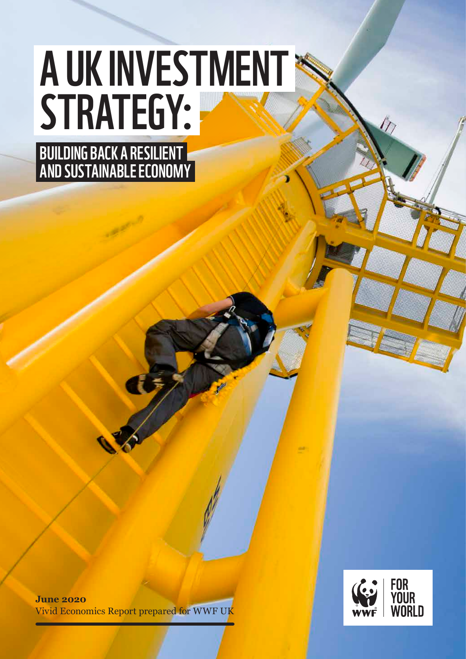# A UK INVESTMENT STRATEGY:

BUILDING BACK A RESILIENT AND SUSTAINABLE ECONOMY

PB A UK INVESTMENT STRATEGY: BUILDING BACK A RESILIENT AND SUSTAINABLE ECONOMY 1

**June 2020** Vivid Economics Report prepared for WWF UK

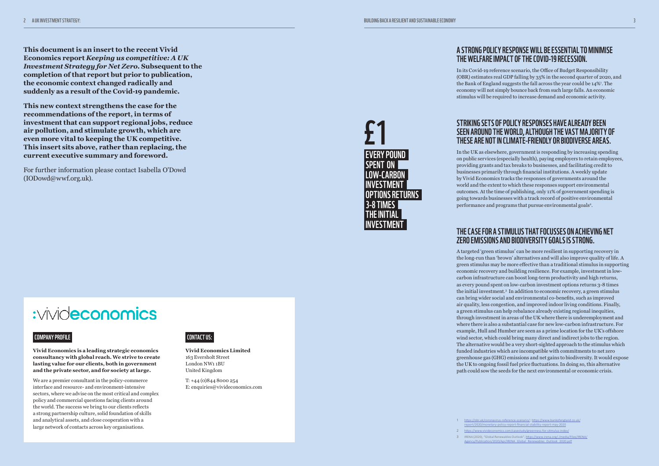#### A STRONG POLICY RESPONSE WILL BE ESSENTIAL TO MINIMISE THE WELFARE IMPACT OF THE COVID-19 RECESSION.

In its Covid-19 reference scenario, the Office of Budget Responsibility (OBR) estimates real GDP falling by 35% in the second quarter of 2020, and the Bank of England suggests the fall across the year could be 14%<sup>1</sup>. The economy will not simply bounce back from such large falls. An economic stimulus will be required to increase demand and economic activity.

In the UK as elsewhere, government is responding by increasing spending on public services (especially health), paying employers to retain employees, providing grants and tax breaks to businesses, and facilitating credit to businesses primarily through financial institutions. A weekly update by Vivid Economics tracks the responses of governments around the world and the extent to which these responses support environmental outcomes. At the time of publishing, only 11% of government spending is going towards businesses with a track record of positive environmental performance and programs that pursue environmental goals<sup>2</sup>.

#### STRIKING SETS OF POLICY RESPONSES HAVE ALREADY BEEN SEEN AROUND THE WORLD, ALTHOUGH THE VAST MAJORITY OF THESE ARE NOT IN CLIMATE-FRIENDLY OR BIODIVERSE AREAS.

### THE CASE FOR A STIMULUS THAT FOCUSSES ON ACHIEVING NET ZERO EMISSIONS AND BIODIVERSITY GOALS IS STRONG.

A targeted 'green stimulus' can be more resilient in supporting recovery in the long-run than 'brown' alternatives and will also improve quality of life. A green stimulus may be more effective than a traditional stimulus in supporting economic recovery and building resilience. For example, investment in lowcarbon infrastructure can boost long-term productivity and high returns, as every pound spent on low-carbon investment options returns 3-8 times the initial investment.3 In addition to economic recovery, a green stimulus can bring wider social and environmental co-benefits, such as improved air quality, less congestion, and improved indoor living conditions. Finally, a green stimulus can help rebalance already existing regional inequities, through investment in areas of the UK where there is underemployment and where there is also a substantial case for new low-carbon infrastructure. For example, Hull and Humber are seen as a prime location for the UK's offshore wind sector, which could bring many direct and indirect jobs to the region. The alternative would be a very short-sighted approach to the stimulus which funded industries which are incompatible with commitments to net zero greenhouse gas (GHG) emissions and net gains to biodiversity. It would expose the UK to ongoing fossil fuel price fluctuations. In doing so, this alternative path could sow the seeds for the next environmental or economic crisis.

:vivideconomics

1 <https://obr.uk/coronavirus-reference-scenario/> ; [https://www.bankofengland.co.uk/](https://www.bankofengland.co.uk/report/2020/monetary-policy-report-financial-stability-report-may-2020) [report/2020/monetary-policy-report-financial-stability-report-may-2020](https://www.bankofengland.co.uk/report/2020/monetary-policy-report-financial-stability-report-may-2020)

2 <https://www.vivideconomics.com/casestudy/greenness-for-stimulus-index/>

3 IRENA (2020), "Global Renewables Outlook", [https://www.irena.org/-/media/Files/IRENA/](https://www.irena.org/-/media/Files/IRENA/Agency/Publication/2020/Apr/IRENA_Global_Renewables_Outlook_2020.pdf) [Agency/Publication/2020/Apr/IRENA\\_Global\\_Renewables\\_Outlook\\_2020.pdf](https://www.irena.org/-/media/Files/IRENA/Agency/Publication/2020/Apr/IRENA_Global_Renewables_Outlook_2020.pdf)



**This document is an insert to the recent Vivid Economics report** *Keeping us competitive: A UK Investment Strategy for Net Zero***. Subsequent to the completion of that report but prior to publication, the economic context changed radically and suddenly as a result of the Covid-19 pandemic.**

**This new context strengthens the case for the recommendations of the report, in terms of investment that can support regional jobs, reduce air pollution, and stimulate growth, which are even more vital to keeping the UK competitive. This insert sits above, rather than replacing, the current executive summary and foreword.** 

For further information please contact Isabella O'Dowd (IODowd@wwf.org.uk).

## CONTACT US:

**Vivid Economics Limited** 163 Eversholt Street London NW1 1BU United Kingdom

T: +44 (0)844 8000 254 E: enquiries@vivideconomics.com



- 
- -

#### COMPANY PROFILE

**Vivid Economics is a leading strategic economics consultancy with global reach. We strive to create lasting value for our clients, both in government and the private sector, and for society at large.**

We are a premier consultant in the policy-commerce interface and resource- and environment-intensive sectors, where we advise on the most critical and complex policy and commercial questions facing clients around the world. The success we bring to our clients reflects a strong partnership culture, solid foundation of skills and analytical assets, and close cooperation with a large network of contacts across key organisations.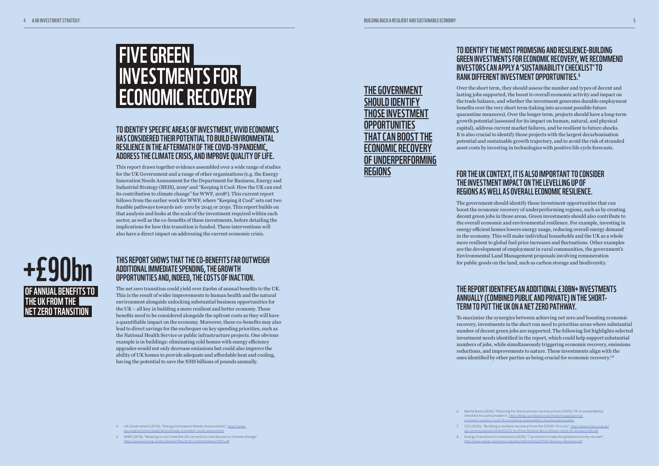#### TO IDENTIFY THE MOST PROMISING AND RESILIENCE-BUILDING GREEN INVESTMENTS FOR ECONOMIC RECOVERY, WE RECOMMEND INVESTORS CAN APPLY A 'SUSTAINABILITY CHECKLIST' TO RANK DIFFERENT INVESTMENT OPPORTUNITIES.6

Over the short term, they should assess the number and types of decent and lasting jobs supported, the boost to overall economic activity and impact on the trade balance, and whether the investment generates durable employment benefits over the very short term (taking into account possible future quarantine measures). Over the longer term, projects should have a long-term growth potential (assessed for its impact on human, natural, and physical capital), address current market failures, and be resilient to future shocks. It is also crucial to identify those projects with the largest decarbonisation potential and sustainable growth trajectory, and to avoid the risk of stranded asset costs by investing in technologies with positive life cycle forecasts.

#### FOR THE UK CONTEXT, IT IS ALSO IMPORTANT TO CONSIDER THE INVESTMENT IMPACT ON THE LEVELLING UP OF REGIONS AS WELL AS OVERALL ECONOMIC RESILIENCE.

The government should identify those investment opportunities that can boost the economic recovery of underperforming regions, such as by creating decent green jobs in those areas. Green investments should also contribute to the overall economic and environmental resilience. For example, investing in energy efficient homes lowers energy usage, reducing overall energy demand in the economy. This will make individual households and the UK as a whole more resilient to global fuel price increases and fluctuations. Other examples are the development of employment in rural communities, the government's Environmental Land Management proposals involving remuneration for public goods on the land, such as carbon storage and biodiversity.

#### THE REPORT IDENTIFIES AN ADDITIONAL £30BN+ INVESTMENTS ANNUALLY (COMBINED PUBLIC AND PRIVATE) IN THE SHORT-TERM TO PUT THE UK ON A NET ZERO PATHWAY.

To maximise the synergies between achieving net zero and boosting economic recovery, investments in the short run need to prioritise areas where substantial number of decent green jobs are supported. The following list highlights selected investment needs identified in the report, which could help support substantial numbers of jobs, while simultaneously triggering economic recovery, emissions reductions, and improvements to nature. These investments align with the ones identified by other parties as being crucial for economic recovery.7,8

- 
- 
- 
- 4 UK Government (2019), "Energy Innovation Needs Assessments", [https://www.](https://www.gov.uk/government/publications/energy-innovation-needs-assessments) [gov.uk/government/publications/energy-innovation-needs-assessments](https://www.gov.uk/government/publications/energy-innovation-needs-assessments)
- 5 WWF (2018), "Keeping it cool: How the UK can end its contribution to climate change", <https://www.wwf.org.uk/sites/default/files/2018-11/NetZeroReportART.pdf>

6 World Bank (2020), "Planning for the economic recovery from COVID-19: A sustainability checklist for policymakers", [https://blogs.worldbank.org/climatechange/planning](https://blogs.worldbank.org/climatechange/planning-economic-recovery-covid-19-coronavirus-sustainability-checklist-policymakers)[economic-recovery-covid-19-coronavirus-sustainability-checklist-policymakers](https://blogs.worldbank.org/climatechange/planning-economic-recovery-covid-19-coronavirus-sustainability-checklist-policymakers)

7 CCC (2020), "Building a resilient recovery from the COVID-19 crisis", [https://www.theccc.org.uk/](https://www.theccc.org.uk/wp-content/uploads/2020/05/CCC-to-Prime-Minister-Boris-Johnson-Covid-19-recovery-002.pdf) [wp-content/uploads/2020/05/CCC-to-Prime-Minister-Boris-Johnson-Covid-19-recovery-002.pdf](https://www.theccc.org.uk/wp-content/uploads/2020/05/CCC-to-Prime-Minister-Boris-Johnson-Covid-19-recovery-002.pdf)

8 Energy Transitions Commission (2020), "7 priorities to help the global economy recover", <http://www.energy-transitions.org/sites/default/files/COVID-Recovery-Response.pdf>

# FIVE GREEN INVESTMENTS FOR ECONOMIC RECOVERY

#### TO IDENTIFY SPECIFIC AREAS OF INVESTMENT, VIVID ECONOMICS HAS CONSIDERED THEIR POTENTIAL TO BUILD ENVIRONMENTAL RESILIENCE IN THE AFTERMATH OF THE COVID-19 PANDEMIC, ADDRESS THE CLIMATE CRISIS, AND IMPROVE QUALITY OF LIFE.

This report draws together evidence assembled over a wide range of studies for the UK Government and a range of other organisations (e.g. the Energy Innovation Needs Assessment for the Department for Business, Energy and Industrial Strategy (BEIS), 2019<sup>4</sup> and "Keeping it Cool: How the UK can end its contribution to climate change" for WWF, 20185 ). This current report follows from the earlier work for WWF, where "Keeping it Cool" sets out two feasible pathways towards net- zero by 2045 or 2050. This report builds on that analysis and looks at the scale of the investment required within each sector, as well as the co-benefits of these investments, before detailing the implications for how this transition is funded. These interventions will also have a direct impact on addressing the current economic crisis.

## THE GOVERNMENT SHOULD IDENTIFY THOSE INVESTMENT **OPPORTUNITIES** THAT CAN BOOST THE ECONOMIC RECOVERY OF UNDERPERFORMING **REGIONS**

#### THIS REPORT SHOWS THAT THE CO-BENEFITS FAR OUTWEIGH ADDITIONAL IMMEDIATE SPENDING, THE GROWTH OPPORTUNITIES AND, INDEED, THE COSTS OF INACTION.

The net zero transition could yield over £90bn of annual benefits to the UK. This is the result of wider improvements to human health and the natural environment alongside unlocking substantial business opportunities for the UK – all key in building a more resilient and better economy. These benefits need to be considered alongside the upfront costs as they will have a quantifiable impact on the economy. Moreover, these co-benefits may also lead to direct savings for the exchequer on key spending priorities, such as the National Health Service or public infrastructure projects. One obvious example is in buildings: eliminating cold homes with energy efficiency upgrades would not only decrease emissions but could also improve the ability of UK homes to provide adequate and affordable heat and cooling, having the potential to save the NHS billions of pounds annually.

# +£90bn OF ANNUAL BENEFITS TO THE UK FROM THE NET ZERO TRANSITION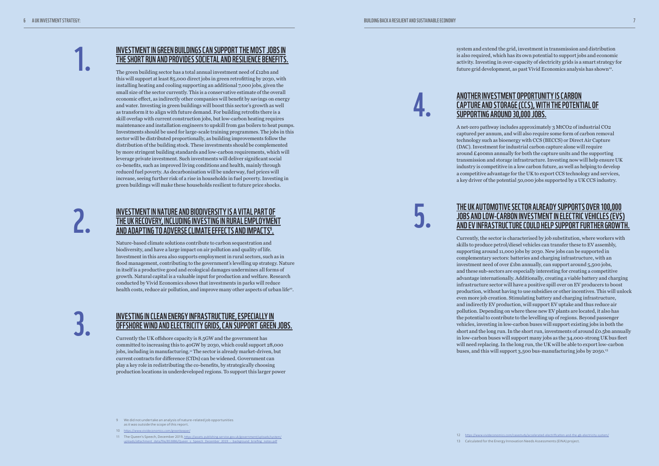system and extend the grid, investment in transmission and distribution is also required, which has its own potential to support jobs and economic activity. Investing in over-capacity of electricity grids is a smart strategy for future grid development, as past Vivid Economics analysis has shown<sup>12</sup>.



#### ANOTHER INVESTMENT OPPORTUNITY IS CARBON CAPTURE AND STORAGE (CCS), WITH THE POTENTIAL OF SUPPORTING AROUND 30,000 JOBS.

A net-zero pathway includes approximately 3 MtCO2 of industrial CO2 captured per annum, and will also require some form of carbon removal technology such as bioenergy with CCS (BECCS) or Direct Air Capture (DAC). Investment for industrial carbon capture alone will require around £400mn annually for both the capture units and the supporting transmission and storage infrastructure. Investing now will help ensure UK industry is competitive in a low carbon future, as well as helping to develop a competitive advantage for the UK to export CCS technology and services, a key driver of the potential 50,000 jobs supported by a UK CCS industry.

#### THE UK AUTOMOTIVE SECTOR ALREADY SUPPORTS OVER 100,000 JOBS AND LOW-CARBON INVESTMENT IN ELECTRIC VEHICLES (EVS) AND EV INFRASTRUCTURE COULD HELP SUPPORT FURTHER GROWTH.

Currently, the sector is characterised by job substitution, where workers with skills to produce petrol/diesel vehicles can transfer these to EV assembly, supporting around 11,000 jobs by 2030. New jobs can be supported in complementary sectors: batteries and charging infrastructure, with an investment need of over £1bn annually, can support around 5,500 jobs, and these sub-sectors are especially interesting for creating a competitive advantage internationally. Additionally, creating a viable battery and charging infrastructure sector will have a positive spill over on EV producers to boost production, without having to use subsidies or other incentives. This will unlock even more job creation. Stimulating battery and charging infrastructure, and indirectly EV production, will support EV uptake and thus reduce air pollution. Depending on where these new EV plants are located, it also has the potential to contribute to the levelling up of regions. Beyond passenger vehicles, investing in low-carbon buses will support existing jobs in both the short and the long run. In the short run, investments of around £0.5bn annually in low-carbon buses will support many jobs as the 34,000-strong UK bus fleet will need replacing. In the long run, the UK will be able to export low-carbon buses, and this will support 3,500 bus-manufacturing jobs by 2050.13

Nature-based climate solutions contribute to carbon sequestration and biodiversity, and have a large impact on air pollution and quality of life. Investment in this area also supports employment in rural sectors, such as in flood management, contributing to the government's levelling up strategy. Nature in itself is a productive good and ecological damages undermines all forms of growth. Natural capital is a valuable input for production and welfare. Research conducted by Vivid Economics shows that investments in parks will reduce health costs, reduce air pollution, and improve many other aspects of urban life<sup>10</sup>.

> 12 <https://www.vivideconomics.com/casestudy/accelerated-electrification-and-the-gb-electricity-system/> 13 Calculated for the Energy Innovation Needs Assessments (EINA) project.

4.

5.

- 9 We did not undertake an analysis of nature-related job opportunities as it was outside the scope of this report.
- 10 <https://www.vivideconomics.com/greenkeeper/>
- 11 The Queen's Speech, December 2019, [https://assets.publishing.service.gov.uk/government/uploads/system/](https://assets.publishing.service.gov.uk/government/uploads/system/uploads/attachment_data/file/853886/Queen_s_Speech_December_2019_-_background_briefing_notes.pdf)<br>[uploads/attachment\\_data/file/853886/Queen\\_s\\_Speech\\_December\\_2019\\_-\\_background\\_briefing\\_notes.pdf](https://assets.publishing.service.gov.uk/government/uploads/system/uploads/attachment_data/file/853886/Queen_s_Speech_December_2019_-_background_briefing_notes.pdf)

#### INVESTMENT IN GREEN BUILDINGS CAN SUPPORT THE MOST JOBS IN THE SHORT RUN AND PROVIDES SOCIETAL AND RESILIENCE BENEFITS.

The green building sector has a total annual investment need of £12bn and this will support at least 85,000 direct jobs in green retrofitting by 2030, with installing heating and cooling supporting an additional 7,000 jobs, given the small size of the sector currently. This is a conservative estimate of the overall economic effect, as indirectly other companies will benefit by savings on energy and water. Investing in green buildings will boost this sector's growth as well as transform it to align with future demand. For building retrofits there is a skill overlap with current construction jobs, but low-carbon heating requires maintenance and installation engineers to upskill from gas boilers to heat pumps. Investments should be used for large-scale training programmes. The jobs in this sector will be distributed proportionally, as building improvements follow the distribution of the building stock. These investments should be complemented by more stringent building standards and low-carbon requirements, which will leverage private investment. Such investments will deliver significant social co-benefits, such as improved living conditions and health, mainly through reduced fuel poverty. As decarbonisation will be underway, fuel prices will increase, seeing further risk of a rise in households in fuel poverty. Investing in green buildings will make these households resilient to future price shocks.

#### INVESTMENT IN NATURE AND BIODIVERSITY IS A VITAL PART OF THE UK RECOVERY, INCLUDING INVESTING IN RURAL EMPLOYMENT AND ADAPTING TO ADVERSE CLIMATE EFFECTS AND IMPACTS9 .

#### INVESTING IN CLEAN ENERGY INFRASTRUCTURE, ESPECIALLY IN OFFSHORE WIND AND ELECTRICITY GRIDS, CAN SUPPORT GREEN JOBS.

Currently the UK offshore capacity is 8.5GW and the government has committed to increasing this to 40GW by 2030, which could support 28,000 jobs, including in manufacturing.<sup>11</sup> The sector is already market-driven, but current contracts for difference (CfDs) can be widened. Government can play a key role in redistributing the co-benefits, by strategically choosing production locations in underdeveloped regions. To support this larger power

2.

1.

3.